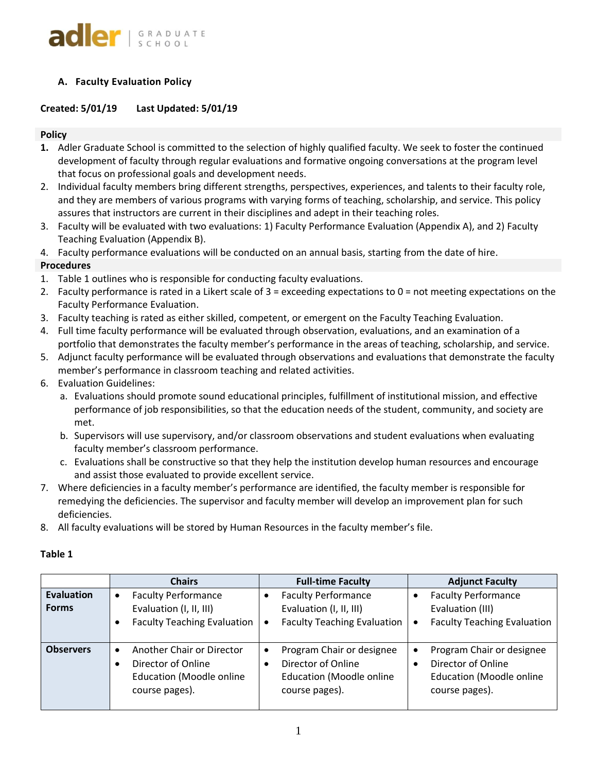

# **A. Faculty Evaluation Policy**

# **Created: 5/01/19 Last Updated: 5/01/19**

## **Policy**

- **1.** Adler Graduate School is committed to the selection of highly qualified faculty. We seek to foster the continued development of faculty through regular evaluations and formative ongoing conversations at the program level that focus on professional goals and development needs.
- 2. Individual faculty members bring different strengths, perspectives, experiences, and talents to their faculty role, and they are members of various programs with varying forms of teaching, scholarship, and service. This policy assures that instructors are current in their disciplines and adept in their teaching roles.
- 3. Faculty will be evaluated with two evaluations: 1) Faculty Performance Evaluation (Appendix A), and 2) Faculty Teaching Evaluation (Appendix B).
- 4. Faculty performance evaluations will be conducted on an annual basis, starting from the date of hire.

## **Procedures**

- 1. Table 1 outlines who is responsible for conducting faculty evaluations.
- 2. Faculty performance is rated in a Likert scale of 3 = exceeding expectations to 0 = not meeting expectations on the Faculty Performance Evaluation.
- 3. Faculty teaching is rated as either skilled, competent, or emergent on the Faculty Teaching Evaluation.
- 4. Full time faculty performance will be evaluated through observation, evaluations, and an examination of a portfolio that demonstrates the faculty member's performance in the areas of teaching, scholarship, and service.
- 5. Adjunct faculty performance will be evaluated through observations and evaluations that demonstrate the faculty member's performance in classroom teaching and related activities.
- 6. Evaluation Guidelines:
	- a. Evaluations should promote sound educational principles, fulfillment of institutional mission, and effective performance of job responsibilities, so that the education needs of the student, community, and society are met.
	- b. Supervisors will use supervisory, and/or classroom observations and student evaluations when evaluating faculty member's classroom performance.
	- c. Evaluations shall be constructive so that they help the institution develop human resources and encourage and assist those evaluated to provide excellent service.
- 7. Where deficiencies in a faculty member's performance are identified, the faculty member is responsible for remedying the deficiencies. The supervisor and faculty member will develop an improvement plan for such deficiencies.
- 8. All faculty evaluations will be stored by Human Resources in the faculty member's file.

|                                   | <b>Chairs</b>                                                                                        | <b>Full-time Faculty</b>                                                                             | <b>Adjunct Faculty</b>                                                                                            |
|-----------------------------------|------------------------------------------------------------------------------------------------------|------------------------------------------------------------------------------------------------------|-------------------------------------------------------------------------------------------------------------------|
| <b>Evaluation</b><br><b>Forms</b> | <b>Faculty Performance</b><br>Evaluation (I, II, III)<br><b>Faculty Teaching Evaluation</b>          | <b>Faculty Performance</b><br>Evaluation (I, II, III)<br><b>Faculty Teaching Evaluation</b>          | <b>Faculty Performance</b><br>Evaluation (III)<br><b>Faculty Teaching Evaluation</b><br>$\bullet$                 |
| <b>Observers</b>                  | Another Chair or Director<br>Director of Online<br><b>Education (Moodle online</b><br>course pages). | Program Chair or designee<br>Director of Online<br><b>Education (Moodle online</b><br>course pages). | Program Chair or designee<br>$\bullet$<br>Director of Online<br><b>Education (Moodle online</b><br>course pages). |

## **Table 1**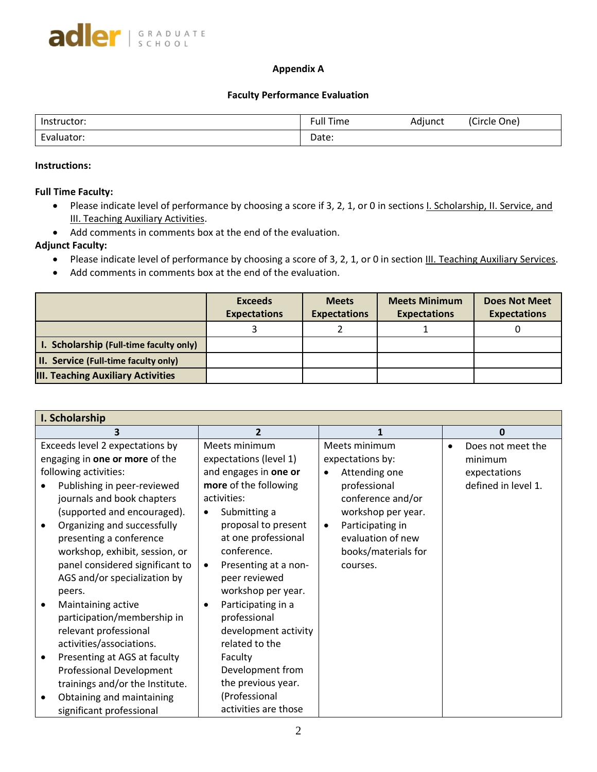## **Appendix A**

## **Faculty Performance Evaluation**

| Instructor:                            | Full-<br>Time | .<br>Adjunct | (Circle One) |
|----------------------------------------|---------------|--------------|--------------|
| $\overline{\phantom{0}}$<br>Evaluator: | Date:         |              |              |

## **Instructions:**

## **Full Time Faculty:**

- Please indicate level of performance by choosing a score if 3, 2, 1, or 0 in sections *I. Scholarship, II. Service, and* **III. Teaching Auxiliary Activities.**
- Add comments in comments box at the end of the evaluation.

# **Adjunct Faculty:**

- Please indicate level of performance by choosing a score of 3, 2, 1, or 0 in section III. Teaching Auxiliary Services.
- Add comments in comments box at the end of the evaluation.

|                                             | <b>Exceeds</b><br><b>Expectations</b> | <b>Meets</b><br><b>Expectations</b> | <b>Meets Minimum</b><br><b>Expectations</b> | <b>Does Not Meet</b><br><b>Expectations</b> |
|---------------------------------------------|---------------------------------------|-------------------------------------|---------------------------------------------|---------------------------------------------|
|                                             |                                       |                                     |                                             |                                             |
| I. Scholarship (Full-time faculty only)     |                                       |                                     |                                             |                                             |
| <b>II. Service (Full-time faculty only)</b> |                                       |                                     |                                             |                                             |
| <b>III. Teaching Auxiliary Activities</b>   |                                       |                                     |                                             |                                             |

| I. Scholarship                                                                                                                                                                                                                                                                                                                                                                        |                                                                                                                                                                                                                                                                                                                   |                                                                                                                                                                                                        |                                                                                  |
|---------------------------------------------------------------------------------------------------------------------------------------------------------------------------------------------------------------------------------------------------------------------------------------------------------------------------------------------------------------------------------------|-------------------------------------------------------------------------------------------------------------------------------------------------------------------------------------------------------------------------------------------------------------------------------------------------------------------|--------------------------------------------------------------------------------------------------------------------------------------------------------------------------------------------------------|----------------------------------------------------------------------------------|
| 3                                                                                                                                                                                                                                                                                                                                                                                     | $\overline{2}$                                                                                                                                                                                                                                                                                                    | 1                                                                                                                                                                                                      | 0                                                                                |
| Exceeds level 2 expectations by<br>engaging in one or more of the<br>following activities:<br>Publishing in peer-reviewed<br>journals and book chapters<br>(supported and encouraged).<br>Organizing and successfully<br>presenting a conference<br>workshop, exhibit, session, or<br>panel considered significant to<br>AGS and/or specialization by<br>peers.<br>Maintaining active | Meets minimum<br>expectations (level 1)<br>and engages in one or<br>more of the following<br>activities:<br>Submitting a<br>$\bullet$<br>proposal to present<br>at one professional<br>conference.<br>Presenting at a non-<br>$\bullet$<br>peer reviewed<br>workshop per year.<br>Participating in a<br>$\bullet$ | Meets minimum<br>expectations by:<br>Attending one<br>professional<br>conference and/or<br>workshop per year.<br>Participating in<br>$\bullet$<br>evaluation of new<br>books/materials for<br>courses. | Does not meet the<br>$\bullet$<br>minimum<br>expectations<br>defined in level 1. |
| participation/membership in<br>relevant professional<br>activities/associations.<br>Presenting at AGS at faculty<br><b>Professional Development</b><br>trainings and/or the Institute.                                                                                                                                                                                                | professional<br>development activity<br>related to the<br>Faculty<br>Development from<br>the previous year.                                                                                                                                                                                                       |                                                                                                                                                                                                        |                                                                                  |
| Obtaining and maintaining<br>significant professional                                                                                                                                                                                                                                                                                                                                 | (Professional<br>activities are those                                                                                                                                                                                                                                                                             |                                                                                                                                                                                                        |                                                                                  |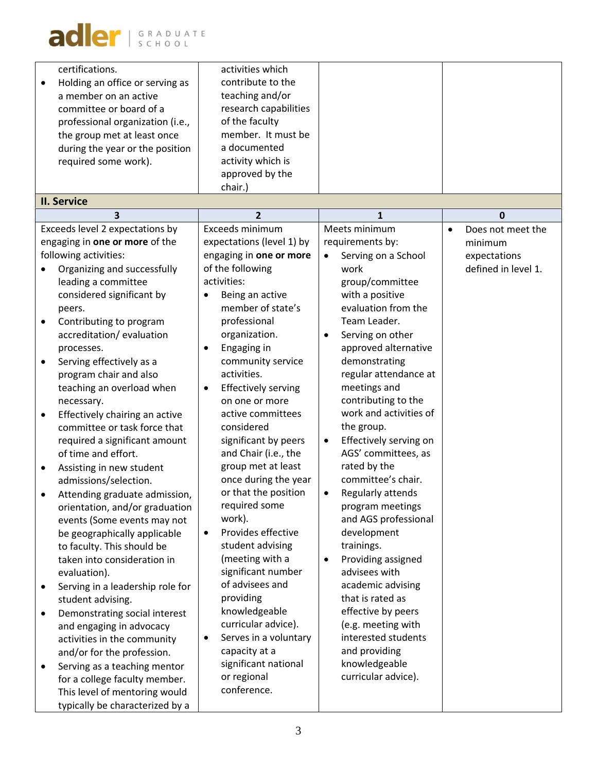| certifications.<br>Holding an office or serving as<br>a member on an active<br>committee or board of a<br>professional organization (i.e.,<br>the group met at least once<br>during the year or the position<br>required some work).<br><b>II. Service</b>                                                                                                                                                                                                                                                                                                                                                                                                                                                                                                                                                                                                                                                                                                                                                                                                                                                                                     | activities which<br>contribute to the<br>teaching and/or<br>research capabilities<br>of the faculty<br>member. It must be<br>a documented<br>activity which is<br>approved by the<br>chair.)                                                                                                                                                                                                                                                                                                                                                                                                                                                                                                                                                                              |                                                                                                                                                                                                                                                                                                                                                                                                                                                                                                                                                                                                                                                                                                                                                            |                                                                     |
|------------------------------------------------------------------------------------------------------------------------------------------------------------------------------------------------------------------------------------------------------------------------------------------------------------------------------------------------------------------------------------------------------------------------------------------------------------------------------------------------------------------------------------------------------------------------------------------------------------------------------------------------------------------------------------------------------------------------------------------------------------------------------------------------------------------------------------------------------------------------------------------------------------------------------------------------------------------------------------------------------------------------------------------------------------------------------------------------------------------------------------------------|---------------------------------------------------------------------------------------------------------------------------------------------------------------------------------------------------------------------------------------------------------------------------------------------------------------------------------------------------------------------------------------------------------------------------------------------------------------------------------------------------------------------------------------------------------------------------------------------------------------------------------------------------------------------------------------------------------------------------------------------------------------------------|------------------------------------------------------------------------------------------------------------------------------------------------------------------------------------------------------------------------------------------------------------------------------------------------------------------------------------------------------------------------------------------------------------------------------------------------------------------------------------------------------------------------------------------------------------------------------------------------------------------------------------------------------------------------------------------------------------------------------------------------------------|---------------------------------------------------------------------|
| 3                                                                                                                                                                                                                                                                                                                                                                                                                                                                                                                                                                                                                                                                                                                                                                                                                                                                                                                                                                                                                                                                                                                                              | $\overline{2}$                                                                                                                                                                                                                                                                                                                                                                                                                                                                                                                                                                                                                                                                                                                                                            | $\mathbf{1}$                                                                                                                                                                                                                                                                                                                                                                                                                                                                                                                                                                                                                                                                                                                                               | 0                                                                   |
| Exceeds level 2 expectations by<br>engaging in one or more of the<br>following activities:<br>Organizing and successfully<br>leading a committee<br>considered significant by<br>peers.<br>Contributing to program<br>٠<br>accreditation/evaluation<br>processes.<br>Serving effectively as a<br>$\bullet$<br>program chair and also<br>teaching an overload when<br>necessary.<br>Effectively chairing an active<br>$\bullet$<br>committee or task force that<br>required a significant amount<br>of time and effort.<br>Assisting in new student<br>$\bullet$<br>admissions/selection.<br>Attending graduate admission,<br>orientation, and/or graduation<br>events (Some events may not<br>be geographically applicable<br>to faculty. This should be<br>taken into consideration in<br>evaluation).<br>Serving in a leadership role for<br>٠<br>student advising.<br>Demonstrating social interest<br>٠<br>and engaging in advocacy<br>activities in the community<br>and/or for the profession.<br>Serving as a teaching mentor<br>٠<br>for a college faculty member.<br>This level of mentoring would<br>typically be characterized by a | Exceeds minimum<br>expectations (level 1) by<br>engaging in one or more<br>of the following<br>activities:<br>Being an active<br>member of state's<br>professional<br>organization.<br>Engaging in<br>$\bullet$<br>community service<br>activities.<br><b>Effectively serving</b><br>٠<br>on one or more<br>active committees<br>considered<br>significant by peers<br>and Chair (i.e., the<br>group met at least<br>once during the year<br>or that the position<br>required some<br>work).<br>Provides effective<br>$\bullet$<br>student advising<br>(meeting with a<br>significant number<br>of advisees and<br>providing<br>knowledgeable<br>curricular advice).<br>Serves in a voluntary<br>٠<br>capacity at a<br>significant national<br>or regional<br>conference. | Meets minimum<br>requirements by:<br>Serving on a School<br>$\bullet$<br>work<br>group/committee<br>with a positive<br>evaluation from the<br>Team Leader.<br>Serving on other<br>approved alternative<br>demonstrating<br>regular attendance at<br>meetings and<br>contributing to the<br>work and activities of<br>the group.<br>Effectively serving on<br>$\bullet$<br>AGS' committees, as<br>rated by the<br>committee's chair.<br>Regularly attends<br>program meetings<br>and AGS professional<br>development<br>trainings.<br>Providing assigned<br>$\bullet$<br>advisees with<br>academic advising<br>that is rated as<br>effective by peers<br>(e.g. meeting with<br>interested students<br>and providing<br>knowledgeable<br>curricular advice). | Does not meet the<br>minimum<br>expectations<br>defined in level 1. |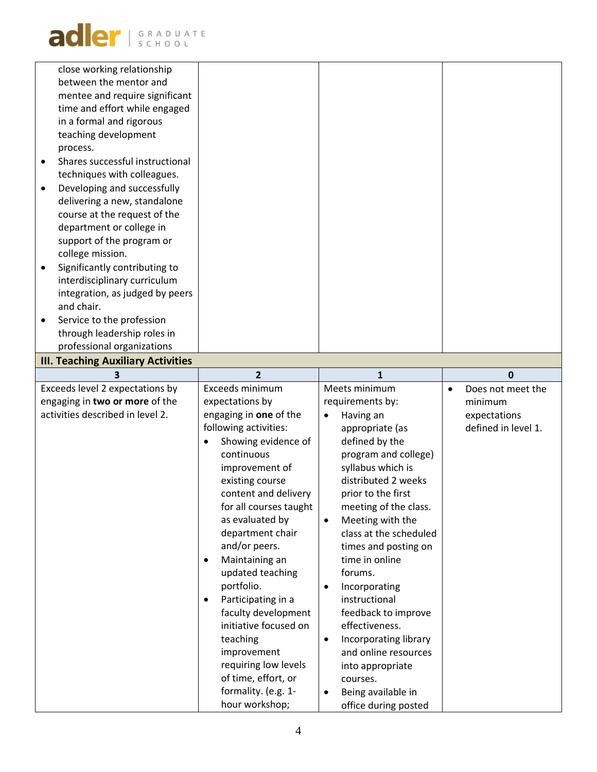adler SCHOOL

|           | close working relationship                |                                             |                                               |           |                     |
|-----------|-------------------------------------------|---------------------------------------------|-----------------------------------------------|-----------|---------------------|
|           | between the mentor and                    |                                             |                                               |           |                     |
|           | mentee and require significant            |                                             |                                               |           |                     |
|           | time and effort while engaged             |                                             |                                               |           |                     |
|           | in a formal and rigorous                  |                                             |                                               |           |                     |
|           | teaching development                      |                                             |                                               |           |                     |
|           | process.                                  |                                             |                                               |           |                     |
| $\bullet$ | Shares successful instructional           |                                             |                                               |           |                     |
|           | techniques with colleagues.               |                                             |                                               |           |                     |
| $\bullet$ | Developing and successfully               |                                             |                                               |           |                     |
|           | delivering a new, standalone              |                                             |                                               |           |                     |
|           | course at the request of the              |                                             |                                               |           |                     |
|           | department or college in                  |                                             |                                               |           |                     |
|           | support of the program or                 |                                             |                                               |           |                     |
|           | college mission.                          |                                             |                                               |           |                     |
|           | Significantly contributing to             |                                             |                                               |           |                     |
|           | interdisciplinary curriculum              |                                             |                                               |           |                     |
|           | integration, as judged by peers           |                                             |                                               |           |                     |
|           | and chair.                                |                                             |                                               |           |                     |
|           | Service to the profession                 |                                             |                                               |           |                     |
|           | through leadership roles in               |                                             |                                               |           |                     |
|           | professional organizations                |                                             |                                               |           |                     |
|           | <b>III. Teaching Auxiliary Activities</b> |                                             |                                               |           |                     |
|           | 3                                         | $\overline{2}$                              | $\mathbf{1}$                                  |           | $\mathbf{0}$        |
|           | Exceeds level 2 expectations by           | Exceeds minimum                             | Meets minimum                                 | $\bullet$ | Does not meet the   |
|           | engaging in two or more of the            | expectations by                             | requirements by:                              |           | minimum             |
|           | activities described in level 2.          | engaging in one of the                      | Having an                                     |           | expectations        |
|           |                                           | following activities:                       | appropriate (as                               |           | defined in level 1. |
|           |                                           | Showing evidence of                         | defined by the                                |           |                     |
|           |                                           | continuous                                  | program and college)                          |           |                     |
|           |                                           | improvement of                              | syllabus which is                             |           |                     |
|           |                                           | existing course                             | distributed 2 weeks                           |           |                     |
|           |                                           | content and delivery                        | prior to the first                            |           |                     |
|           |                                           | for all courses taught                      | meeting of the class.                         |           |                     |
|           |                                           | as evaluated by                             | Meeting with the<br>$\bullet$                 |           |                     |
|           |                                           | department chair                            | class at the scheduled                        |           |                     |
|           |                                           | and/or peers.                               | times and posting on                          |           |                     |
|           |                                           |                                             |                                               |           |                     |
|           |                                           | Maintaining an<br>$\bullet$                 | time in online                                |           |                     |
|           |                                           | updated teaching                            | forums.                                       |           |                     |
|           |                                           | portfolio.                                  | Incorporating                                 |           |                     |
|           |                                           | Participating in a<br>٠                     | instructional                                 |           |                     |
|           |                                           | faculty development                         | feedback to improve                           |           |                     |
|           |                                           | initiative focused on                       | effectiveness.                                |           |                     |
|           |                                           | teaching                                    | ٠                                             |           |                     |
|           |                                           | improvement                                 | Incorporating library<br>and online resources |           |                     |
|           |                                           |                                             |                                               |           |                     |
|           |                                           | requiring low levels<br>of time, effort, or | into appropriate<br>courses.                  |           |                     |
|           |                                           | formality. (e.g. 1-                         | Being available in                            |           |                     |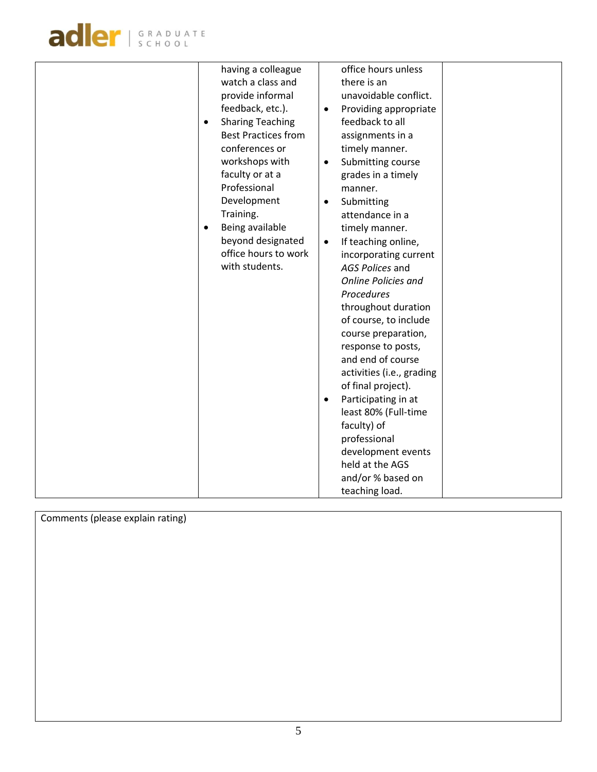

| having a colleague<br>watch a class and<br>provide informal<br>feedback, etc.).<br><b>Sharing Teaching</b><br>$\bullet$<br><b>Best Practices from</b><br>conferences or<br>workshops with<br>faculty or at a<br>Professional<br>Development<br>Training.<br>Being available<br>$\bullet$<br>beyond designated<br>office hours to work<br>with students. | office hours unless<br>there is an<br>unavoidable conflict.<br>Providing appropriate<br>feedback to all<br>assignments in a<br>timely manner.<br>Submitting course<br>$\bullet$<br>grades in a timely<br>manner.<br>Submitting<br>attendance in a<br>timely manner.<br>If teaching online,<br>$\bullet$<br>incorporating current<br>AGS Polices and<br><b>Online Policies and</b><br>Procedures<br>throughout duration<br>of course, to include<br>course preparation,<br>response to posts,<br>and end of course<br>activities (i.e., grading |  |
|---------------------------------------------------------------------------------------------------------------------------------------------------------------------------------------------------------------------------------------------------------------------------------------------------------------------------------------------------------|------------------------------------------------------------------------------------------------------------------------------------------------------------------------------------------------------------------------------------------------------------------------------------------------------------------------------------------------------------------------------------------------------------------------------------------------------------------------------------------------------------------------------------------------|--|
|                                                                                                                                                                                                                                                                                                                                                         |                                                                                                                                                                                                                                                                                                                                                                                                                                                                                                                                                |  |
|                                                                                                                                                                                                                                                                                                                                                         | of final project).<br>Participating in at<br>$\bullet$<br>least 80% (Full-time<br>faculty) of<br>professional                                                                                                                                                                                                                                                                                                                                                                                                                                  |  |
|                                                                                                                                                                                                                                                                                                                                                         | development events<br>held at the AGS<br>and/or % based on<br>teaching load.                                                                                                                                                                                                                                                                                                                                                                                                                                                                   |  |

Comments (please explain rating)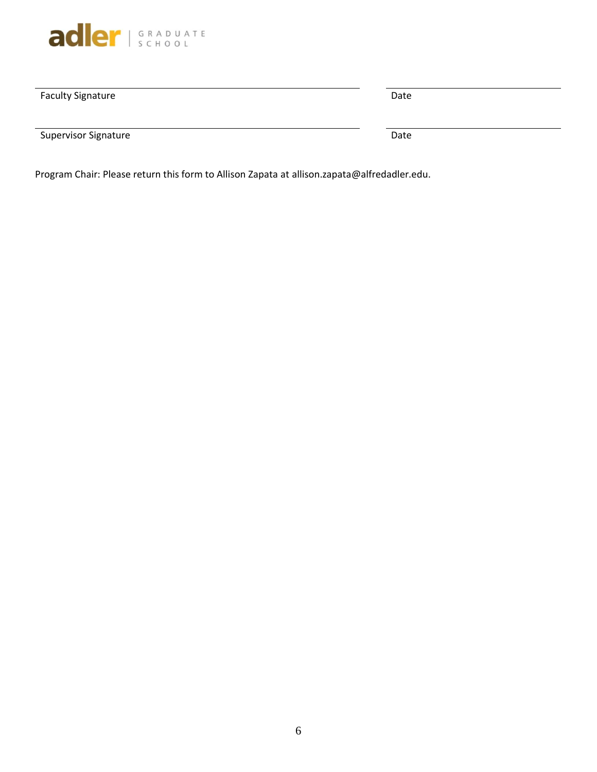

| <b>Faculty Signature</b>    | Date |
|-----------------------------|------|
| <b>Supervisor Signature</b> | Date |

Program Chair: Please return this form to Allison Zapata at allison.zapata@alfredadler.edu.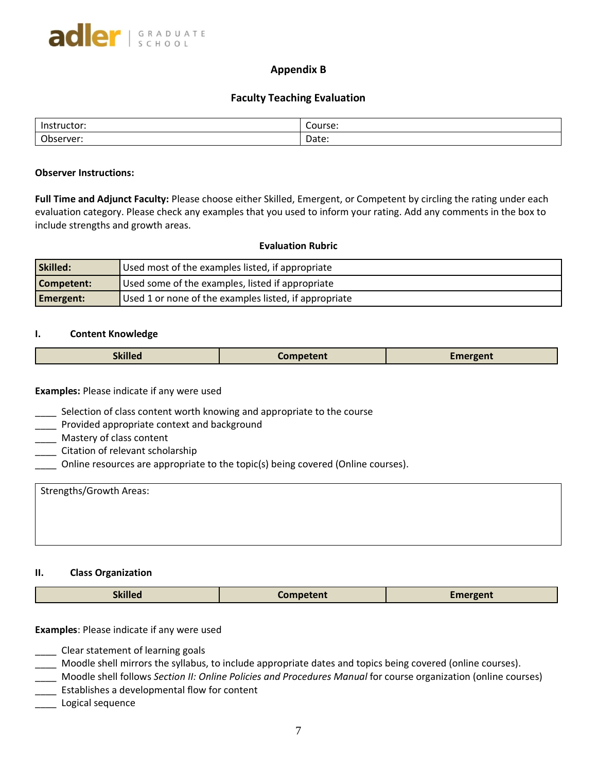# **Appendix B**

## **Faculty Teaching Evaluation**

| <b>Instru</b><br>uctor:<br> | <br>Course: |
|-----------------------------|-------------|
| $\bigcap$<br>erver:<br>---- | Date:       |

#### **Observer Instructions:**

**Full Time and Adjunct Faculty:** Please choose either Skilled, Emergent, or Competent by circling the rating under each evaluation category. Please check any examples that you used to inform your rating. Add any comments in the box to include strengths and growth areas.

### **Evaluation Rubric**

| Skilled:         | Used most of the examples listed, if appropriate      |
|------------------|-------------------------------------------------------|
| Competent:       | Used some of the examples, listed if appropriate      |
| <b>Emergent:</b> | Used 1 or none of the examples listed, if appropriate |

#### **I. Content Knowledge**

| <b>Skilled</b> | . `omnetent | Emergent |
|----------------|-------------|----------|
|                |             |          |

**Examples:** Please indicate if any were used

- \_\_\_\_ Selection of class content worth knowing and appropriate to the course
- **\_\_\_\_\_** Provided appropriate context and background
- \_\_\_\_ Mastery of class content
- \_\_\_\_ Citation of relevant scholarship
- \_\_\_\_ Online resources are appropriate to the topic(s) being covered (Online courses).

| Strengths/Growth Areas: |  |  |
|-------------------------|--|--|
|                         |  |  |
|                         |  |  |
|                         |  |  |

### **II. Class Organization**

|  | <b>экшеа</b> | `omnatant | чи. |
|--|--------------|-----------|-----|
|--|--------------|-----------|-----|

### **Examples**: Please indicate if any were used

- \_\_\_\_ Clear statement of learning goals
- \_\_\_\_ Moodle shell mirrors the syllabus, to include appropriate dates and topics being covered (online courses).
- \_\_\_\_ Moodle shell follows *Section II: Online Policies and Procedures Manual* for course organization (online courses)
- **\_\_\_\_\_** Establishes a developmental flow for content
- \_\_\_\_ Logical sequence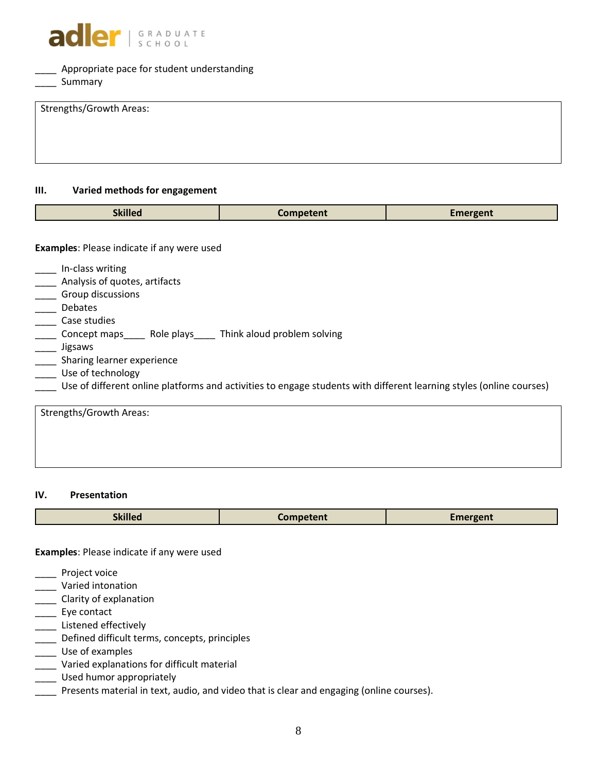

# \_\_\_\_ Appropriate pace for student understanding

\_\_\_\_\_ Summary

| Strengths/Growth Areas: |  |  |
|-------------------------|--|--|
|                         |  |  |
|                         |  |  |
|                         |  |  |
|                         |  |  |
|                         |  |  |

# **III. Varied methods for engagement**

| <b>Skilled</b>                                    | <b>Competent</b>            | <b>Emergent</b> |
|---------------------------------------------------|-----------------------------|-----------------|
|                                                   |                             |                 |
| <b>Examples: Please indicate if any were used</b> |                             |                 |
| In-class writing                                  |                             |                 |
| Analysis of quotes, artifacts                     |                             |                 |
| Group discussions                                 |                             |                 |
| Debates                                           |                             |                 |
| Case studies                                      |                             |                 |
| Role plays<br>Concept maps                        | Think aloud problem solving |                 |
| Jigsaws                                           |                             |                 |
| Sharing learner experience                        |                             |                 |
| Use of technology                                 |                             |                 |

\_\_\_\_ Use of different online platforms and activities to engage students with different learning styles (online courses)

| Strengths/Growth Areas: |  |  |
|-------------------------|--|--|
|                         |  |  |
|                         |  |  |

## **IV. Presentation**

|--|

**Examples**: Please indicate if any were used

- \_\_\_\_ Project voice
- \_\_\_\_ Varied intonation
- \_\_\_\_ Clarity of explanation
- Let Eye contact
- \_\_\_\_\_ Listened effectively
- \_\_\_\_ Defined difficult terms, concepts, principles
- \_\_\_\_ Use of examples
- \_\_\_\_ Varied explanations for difficult material
- \_\_\_\_ Used humor appropriately
- **The Presents material in text, audio, and video that is clear and engaging (online courses).**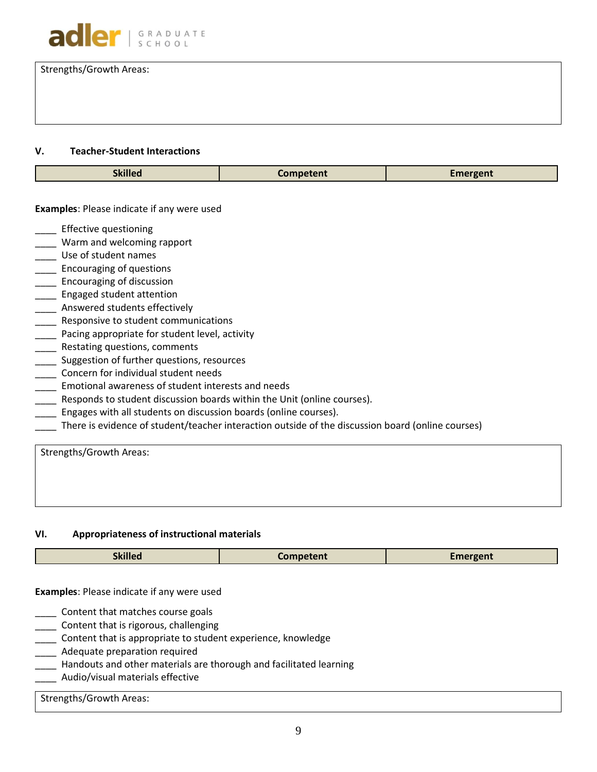

Strengths/Growth Areas:

### **V. Teacher-Student Interactions**

| $\bullet$<br>.<br><b>nm</b><br><b><i>CONTRACTOR COMMUNICATIONS</i></b><br>жшео |
|--------------------------------------------------------------------------------|
|--------------------------------------------------------------------------------|

### **Examples**: Please indicate if any were used

- \_\_\_\_ Effective questioning
- \_\_\_\_ Warm and welcoming rapport
- Lacker Use of student names
- \_\_\_\_ Encouraging of questions
- \_\_\_\_ Encouraging of discussion
- \_\_\_\_ Engaged student attention
- \_\_\_\_ Answered students effectively
- \_\_\_\_ Responsive to student communications
- Pacing appropriate for student level, activity
- \_\_\_\_ Restating questions, comments
- **\_\_\_\_** Suggestion of further questions, resources
- \_\_\_\_ Concern for individual student needs
- \_\_\_\_ Emotional awareness of student interests and needs
- **Number 2** Responds to student discussion boards within the Unit (online courses).
- \_\_\_\_ Engages with all students on discussion boards (online courses).
- \_\_\_\_ There is evidence of student/teacher interaction outside of the discussion board (online courses)

Strengths/Growth Areas:

#### **VI. Appropriateness of instructional materials**

| <b>Skilled</b><br>Competent<br>$\mathcal{L}$ mergent |
|------------------------------------------------------|
|------------------------------------------------------|

**Examples**: Please indicate if any were used

- \_\_\_\_ Content that matches course goals
- \_\_\_\_ Content that is rigorous, challenging
- \_\_\_\_ Content that is appropriate to student experience, knowledge
- **\_\_\_\_** Adequate preparation required
- Handouts and other materials are thorough and facilitated learning
- \_\_\_\_ Audio/visual materials effective

# Strengths/Growth Areas: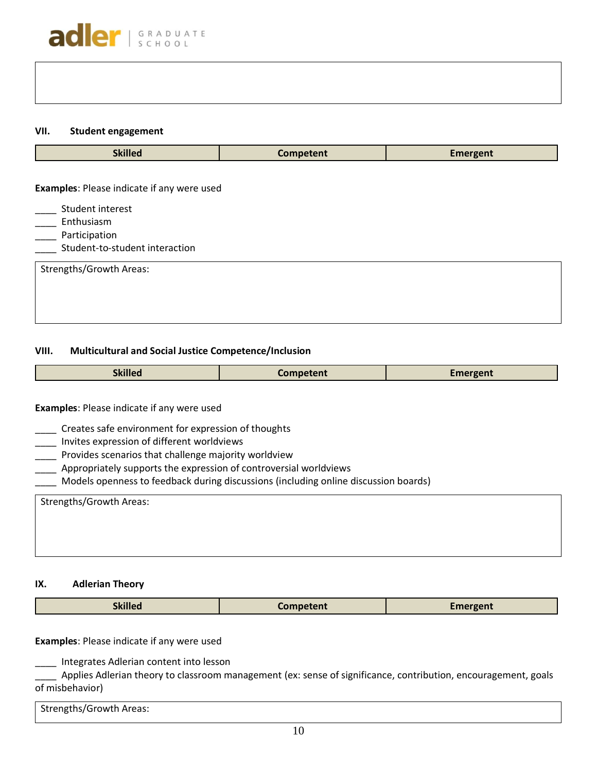### **VII. Student engagement**

| <b>Skilled</b>                                  | Competent | <b>Emergent</b> |
|-------------------------------------------------|-----------|-----------------|
| Examples: Please indicate if any were used      |           |                 |
| Student interest<br>Enthusiasm                  |           |                 |
| Participation<br>Student-to-student interaction |           |                 |
| Strengths/Growth Areas:                         |           |                 |
|                                                 |           |                 |

# **VIII. Multicultural and Social Justice Competence/Inclusion**

| экшеа | $\sim$ $\sim$ $\sim$ $\sim$<br>nı | $\lceil \cdot \rceil$ reent<br>------ |
|-------|-----------------------------------|---------------------------------------|
|       |                                   |                                       |

# **Examples**: Please indicate if any were used

- \_\_\_\_ Creates safe environment for expression of thoughts
- \_\_\_\_ Invites expression of different worldviews
- \_\_\_\_ Provides scenarios that challenge majority worldview
- \_\_\_\_ Appropriately supports the expression of controversial worldviews
- \_\_\_\_ Models openness to feedback during discussions (including online discussion boards)

| <b>Strengths/Growth Areas:</b> |  |  |
|--------------------------------|--|--|
|                                |  |  |
|                                |  |  |
|                                |  |  |

### **IX. Adlerian Theory**

|  | $\cdot$<br>минео | Competent | Fmerger <sup>+</sup><br>______ |
|--|------------------|-----------|--------------------------------|
|--|------------------|-----------|--------------------------------|

**Examples**: Please indicate if any were used

\_\_\_\_ Integrates Adlerian content into lesson

\_\_\_\_ Applies Adlerian theory to classroom management (ex: sense of significance, contribution, encouragement, goals of misbehavior)